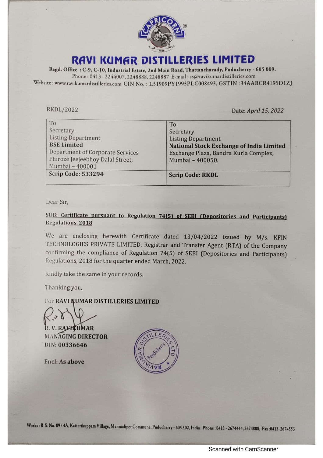

Regd. Office : C-9, C-10, Industrial Estate, 2nd Main Road, Thattanchavady, Puducherry - 605 009. Phone : 0413 - 2244007, 2248888, 2248887 E-mail : cs@ravikumardistilleries.com Website : www.ravikumardistilleries.com CIN No. : L51909PY1993PLC008493, GSTIN :34AABCR4195D1ZJ RAVI KUMAR DISTILLERIES LIMITED<br>Regd. Office : C-9, C-10, Industrial Estate, 2nd Main Road, Thattanchavady, Puducherry - 605 009.<br>Phone: 0413 - 2244007, 2248888, 2248887 E-mail: cs@ravikumardistilleries.com<br>te: www.ravikum

| RAVI KUMAR DISTILLERIES LIMITED<br>Regd. Office: C-9, C-10, Industrial Estate, 2nd Main Road, Thattanchavady, Puducherry - 605 009.<br>Phone: 0413 - 2244007, 2248888, 2248887 E-mail: cs@ravikumardistilleries.com<br>ite: www.ravikumardistilleries.com CIN No.: L51909PY1993PLC008493, GSTIN:34AABCR4195D1Z |                                                                                                                                                                                                                                                        |
|----------------------------------------------------------------------------------------------------------------------------------------------------------------------------------------------------------------------------------------------------------------------------------------------------------------|--------------------------------------------------------------------------------------------------------------------------------------------------------------------------------------------------------------------------------------------------------|
|                                                                                                                                                                                                                                                                                                                |                                                                                                                                                                                                                                                        |
| To                                                                                                                                                                                                                                                                                                             | To                                                                                                                                                                                                                                                     |
| Secretary<br><b>Listing Department</b><br><b>BSE Limited</b><br>Department of Corporate Services                                                                                                                                                                                                               | Secretary<br><b>Listing Department</b><br>National Stock Exchange of India Limited<br>Exchange Plaza, Bandra Kurla Complex,<br>Mumbai - 400050.                                                                                                        |
| Phiroze Jeejeebhoy Dalal Street,<br>Mumbai - 400001<br>Scrip Code: 533294                                                                                                                                                                                                                                      | <b>Scrip Code: RKDL</b>                                                                                                                                                                                                                                |
|                                                                                                                                                                                                                                                                                                                |                                                                                                                                                                                                                                                        |
| Dear Sir,                                                                                                                                                                                                                                                                                                      | SUB: Certificate pursuant to Regulation 74(5) of SEBI (Depositories and Participants)                                                                                                                                                                  |
| Regulations, 2018<br>Regulations, 2018 for the quarter ended March, 2022.                                                                                                                                                                                                                                      | We are enclosing herewith Certificate dated 13/04/2022 issued by M/s. KFIN<br>TECHNOLOGIES PRIVATE LIMITED, Registrar and Transfer Agent (RTA) of the Company<br>confirming the compliance of Regulation 74(5) of SEBI (Depositories and Participants) |
| Kindly take the same in your records.                                                                                                                                                                                                                                                                          |                                                                                                                                                                                                                                                        |
| Thanking you,                                                                                                                                                                                                                                                                                                  |                                                                                                                                                                                                                                                        |
| For RAVI KUMAR DISTILLERIES LIMITED                                                                                                                                                                                                                                                                            |                                                                                                                                                                                                                                                        |
| R. V. RAVHTUMAR<br><b>MANAGING DIRECTOR</b><br>DIN: 00336646                                                                                                                                                                                                                                                   |                                                                                                                                                                                                                                                        |
| <b>Encl: As above</b>                                                                                                                                                                                                                                                                                          |                                                                                                                                                                                                                                                        |
|                                                                                                                                                                                                                                                                                                                |                                                                                                                                                                                                                                                        |
|                                                                                                                                                                                                                                                                                                                | S. No. 89 / 4A, Katterikuppam Village, Mannadipet Commune, Puducherry - 605 502, India.  Phone : 0413 - 2674444, 2674888,  Fax :0413-26745                                                                                                             |

## SUB: Certificate pursuant to Regulation 74(5) of SEBI (Depositories and Participants) Regulations, 2018

## For RAVI KUMAR DISTILLERIES LIMITED

 $\mathcal{L}$ 

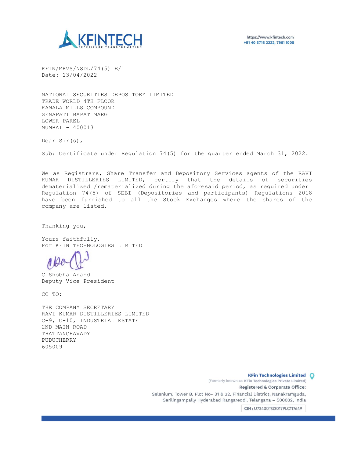

KFIN/MRVS/NSDL/74(5) E/1 Date: 13/04/2022

NATIONAL SECURITIES DEPOSITORY LIMITED TRADE WORLD 4TH FLOOR KAMALA MILLS COMPOUND SENAPATI BAPAT MARG LOWER PAREL MUMBAI - 400013

Dear Sir(s),

Sub: Certificate under Regulation 74(5) for the quarter ended March 31, 2022.

We as Registrars, Share Transfer and Depository Services agents of the RAVI KUMAR DISTILLERIES LIMITED, certify that the details of securities dematerialized /rematerialized during the aforesaid period, as required under Regulation 74(5) of SEBI (Depositories and participants) Regulations 2018 have been furnished to all the Stock Exchanges where the shares of the company are listed.

Thanking you,

Yours faithfully, For KFIN TECHNOLOGIES LIMITED

C Shobha Anand Deputy Vice President

CC TO:

THE COMPANY SECRETARY RAVI KUMAR DISTILLERIES LIMITED C-9, C-10, INDUSTRIAL ESTATE 2ND MAIN ROAD THATTANCHAVADY PUDUCHERRY 605009

> KFin Technologies Limited O (Formerly known as KFin Technologies Private Limited) Registered & Corporate Office: Selenium, Tower B, Plot No- 31 & 32, Financial District, Nanakramguda, Serilingampally Hyderabad Rangareddi, Telangana — 500032, India

> > CIN : U72400TG2017PLC117649